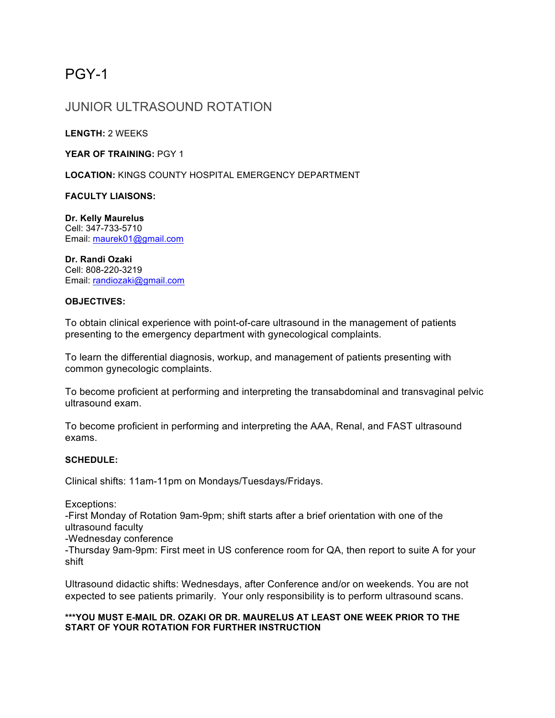# PGY-1

# JUNIOR ULTRASOUND ROTATION

**LENGTH:** 2 WEEKS

YEAR OF TRAINING: PGY 1

**LOCATION:** KINGS COUNTY HOSPITAL EMERGENCY DEPARTMENT

**FACULTY LIAISONS:**

**Dr. Kelly Maurelus** Cell: 347-733-5710 Email: maurek01@gmail.com

**Dr. Randi Ozaki** Cell: 808-220-3219 Email: randiozaki@gmail.com

### **OBJECTIVES:**

To obtain clinical experience with point-of-care ultrasound in the management of patients presenting to the emergency department with gynecological complaints.

To learn the differential diagnosis, workup, and management of patients presenting with common gynecologic complaints.

To become proficient at performing and interpreting the transabdominal and transvaginal pelvic ultrasound exam.

To become proficient in performing and interpreting the AAA, Renal, and FAST ultrasound exams.

#### **SCHEDULE:**

Clinical shifts: 11am-11pm on Mondays/Tuesdays/Fridays.

Exceptions:

-First Monday of Rotation 9am-9pm; shift starts after a brief orientation with one of the ultrasound faculty

-Wednesday conference

-Thursday 9am-9pm: First meet in US conference room for QA, then report to suite A for your shift

Ultrasound didactic shifts: Wednesdays, after Conference and/or on weekends. You are not expected to see patients primarily. Your only responsibility is to perform ultrasound scans.

#### **\*\*\*YOU MUST E-MAIL DR. OZAKI OR DR. MAURELUS AT LEAST ONE WEEK PRIOR TO THE START OF YOUR ROTATION FOR FURTHER INSTRUCTION**